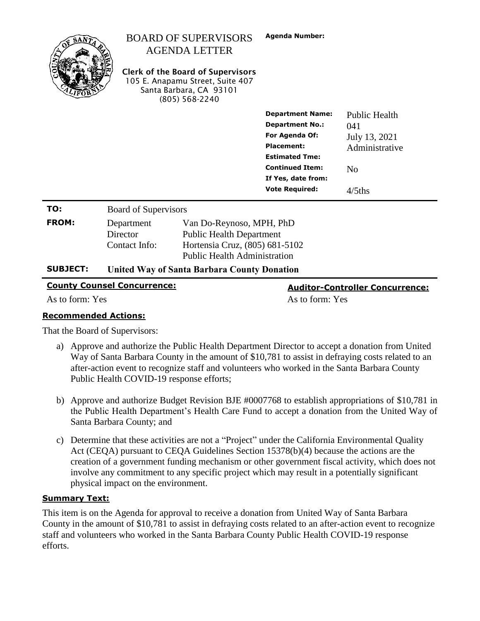|                                                                              |                                                    | <b>BOARD OF SUPERVISORS</b><br><b>AGENDA LETTER</b><br><b>Clerk of the Board of Supervisors</b><br>105 E. Anapamu Street, Suite 407<br>Santa Barbara, CA 93101<br>$(805)$ 568-2240 | <b>Agenda Number:</b>                                                                                                                                                                             |                                                                                               |
|------------------------------------------------------------------------------|----------------------------------------------------|------------------------------------------------------------------------------------------------------------------------------------------------------------------------------------|---------------------------------------------------------------------------------------------------------------------------------------------------------------------------------------------------|-----------------------------------------------------------------------------------------------|
|                                                                              |                                                    |                                                                                                                                                                                    | <b>Department Name:</b><br><b>Department No.:</b><br><b>For Agenda Of:</b><br><b>Placement:</b><br><b>Estimated Tme:</b><br><b>Continued Item:</b><br>If Yes, date from:<br><b>Vote Required:</b> | <b>Public Health</b><br>041<br>July 13, 2021<br>Administrative<br>N <sub>0</sub><br>$4/5$ ths |
| TO:                                                                          | <b>Board of Supervisors</b>                        |                                                                                                                                                                                    |                                                                                                                                                                                                   |                                                                                               |
| <b>FROM:</b>                                                                 | Department<br>Director<br>Contact Info:            | Van Do-Reynoso, MPH, PhD<br><b>Public Health Department</b><br>Hortensia Cruz, (805) 681-5102<br><b>Public Health Administration</b>                                               |                                                                                                                                                                                                   |                                                                                               |
| <b>SUBJECT:</b>                                                              | <b>United Way of Santa Barbara County Donation</b> |                                                                                                                                                                                    |                                                                                                                                                                                                   |                                                                                               |
| <b>County Counsel Concurrence:</b><br><b>Auditor-Controller Concurrence:</b> |                                                    |                                                                                                                                                                                    |                                                                                                                                                                                                   |                                                                                               |

As to form: Yes As to form: Yes

## **Recommended Actions:**

That the Board of Supervisors:

- a) Approve and authorize the Public Health Department Director to accept a donation from United Way of Santa Barbara County in the amount of \$10,781 to assist in defraying costs related to an after-action event to recognize staff and volunteers who worked in the Santa Barbara County Public Health COVID-19 response efforts;
- b) Approve and authorize Budget Revision BJE #0007768 to establish appropriations of \$10,781 in the Public Health Department's Health Care Fund to accept a donation from the United Way of Santa Barbara County; and
- c) Determine that these activities are not a "Project" under the California Environmental Quality Act (CEQA) pursuant to CEQA Guidelines Section 15378(b)(4) because the actions are the creation of a government funding mechanism or other government fiscal activity, which does not involve any commitment to any specific project which may result in a potentially significant physical impact on the environment.

## **Summary Text:**

This item is on the Agenda for approval to receive a donation from United Way of Santa Barbara County in the amount of \$10,781 to assist in defraying costs related to an after-action event to recognize staff and volunteers who worked in the Santa Barbara County Public Health COVID-19 response efforts.